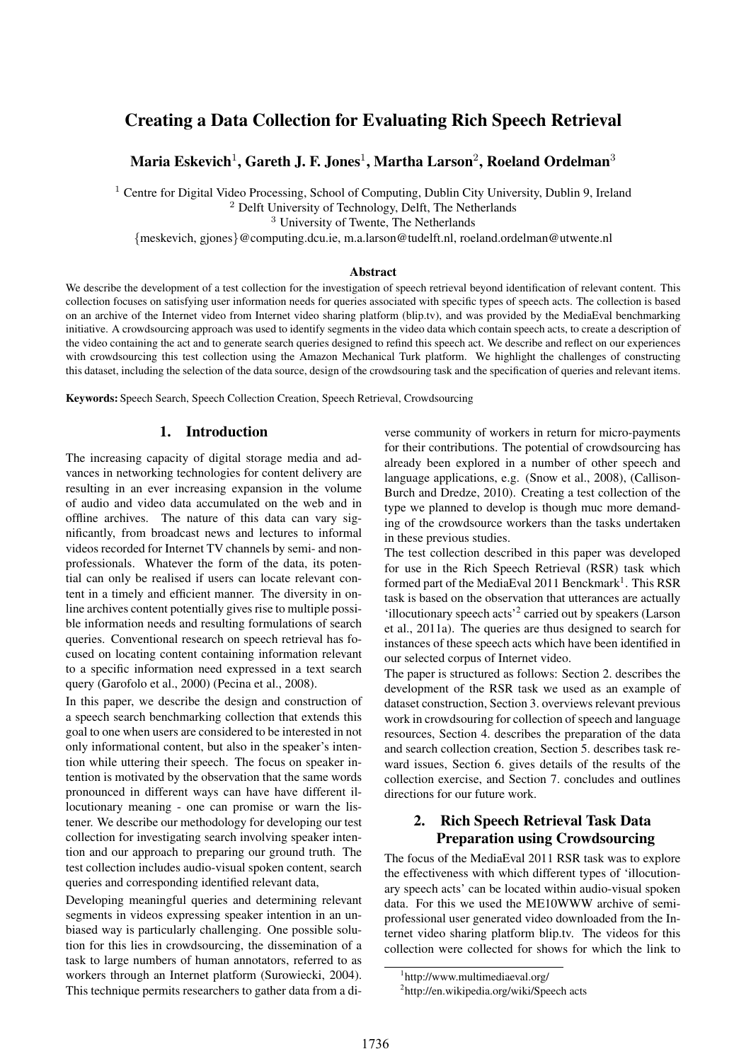# Creating a Data Collection for Evaluating Rich Speech Retrieval

Maria Eskevich $^1$ , Gareth J. F. Jones $^1$ , Martha Larson $^2$ , Roeland Ordelman $^3$ 

<sup>1</sup> Centre for Digital Video Processing, School of Computing, Dublin City University, Dublin 9, Ireland

<sup>2</sup> Delft University of Technology, Delft, The Netherlands

<sup>3</sup> University of Twente, The Netherlands

{meskevich, gjones}@computing.dcu.ie, m.a.larson@tudelft.nl, roeland.ordelman@utwente.nl

#### Abstract

We describe the development of a test collection for the investigation of speech retrieval beyond identification of relevant content. This collection focuses on satisfying user information needs for queries associated with specific types of speech acts. The collection is based on an archive of the Internet video from Internet video sharing platform (blip.tv), and was provided by the MediaEval benchmarking initiative. A crowdsourcing approach was used to identify segments in the video data which contain speech acts, to create a description of the video containing the act and to generate search queries designed to refind this speech act. We describe and reflect on our experiences with crowdsourcing this test collection using the Amazon Mechanical Turk platform. We highlight the challenges of constructing this dataset, including the selection of the data source, design of the crowdsouring task and the specification of queries and relevant items.

Keywords: Speech Search, Speech Collection Creation, Speech Retrieval, Crowdsourcing

#### 1. Introduction

The increasing capacity of digital storage media and advances in networking technologies for content delivery are resulting in an ever increasing expansion in the volume of audio and video data accumulated on the web and in offline archives. The nature of this data can vary significantly, from broadcast news and lectures to informal videos recorded for Internet TV channels by semi- and nonprofessionals. Whatever the form of the data, its potential can only be realised if users can locate relevant content in a timely and efficient manner. The diversity in online archives content potentially gives rise to multiple possible information needs and resulting formulations of search queries. Conventional research on speech retrieval has focused on locating content containing information relevant to a specific information need expressed in a text search query (Garofolo et al., 2000) (Pecina et al., 2008).

In this paper, we describe the design and construction of a speech search benchmarking collection that extends this goal to one when users are considered to be interested in not only informational content, but also in the speaker's intention while uttering their speech. The focus on speaker intention is motivated by the observation that the same words pronounced in different ways can have have different illocutionary meaning - one can promise or warn the listener. We describe our methodology for developing our test collection for investigating search involving speaker intention and our approach to preparing our ground truth. The test collection includes audio-visual spoken content, search queries and corresponding identified relevant data,

Developing meaningful queries and determining relevant segments in videos expressing speaker intention in an unbiased way is particularly challenging. One possible solution for this lies in crowdsourcing, the dissemination of a task to large numbers of human annotators, referred to as workers through an Internet platform (Surowiecki, 2004). This technique permits researchers to gather data from a diverse community of workers in return for micro-payments for their contributions. The potential of crowdsourcing has already been explored in a number of other speech and language applications, e.g. (Snow et al., 2008), (Callison-Burch and Dredze, 2010). Creating a test collection of the type we planned to develop is though muc more demanding of the crowdsource workers than the tasks undertaken in these previous studies.

The test collection described in this paper was developed for use in the Rich Speech Retrieval (RSR) task which formed part of the MediaEval 2011 Benckmark<sup>1</sup>. This RSR task is based on the observation that utterances are actually 'illocutionary speech acts'<sup>2</sup> carried out by speakers (Larson et al., 2011a). The queries are thus designed to search for instances of these speech acts which have been identified in our selected corpus of Internet video.

The paper is structured as follows: Section 2. describes the development of the RSR task we used as an example of dataset construction, Section 3. overviews relevant previous work in crowdsouring for collection of speech and language resources, Section 4. describes the preparation of the data and search collection creation, Section 5. describes task reward issues, Section 6. gives details of the results of the collection exercise, and Section 7. concludes and outlines directions for our future work.

## 2. Rich Speech Retrieval Task Data Preparation using Crowdsourcing

The focus of the MediaEval 2011 RSR task was to explore the effectiveness with which different types of 'illocutionary speech acts' can be located within audio-visual spoken data. For this we used the ME10WWW archive of semiprofessional user generated video downloaded from the Internet video sharing platform blip.tv. The videos for this collection were collected for shows for which the link to

<sup>1</sup> http://www.multimediaeval.org/

<sup>&</sup>lt;sup>2</sup>http://en.wikipedia.org/wiki/Speech acts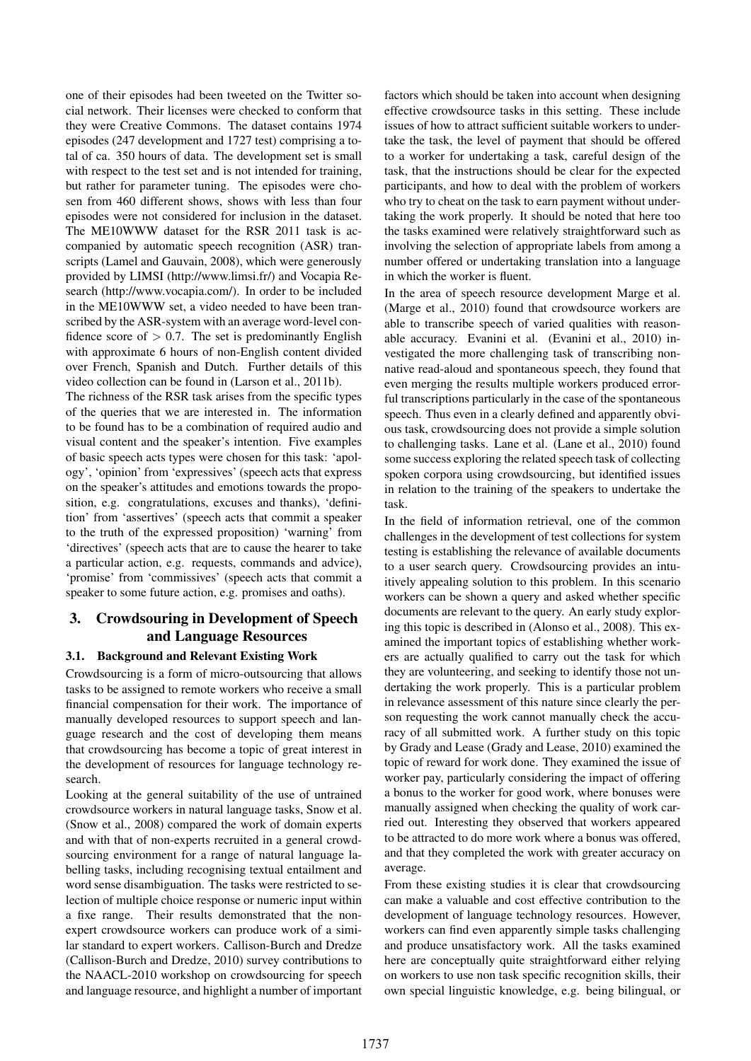one of their episodes had been tweeted on the Twitter social network. Their licenses were checked to conform that they were Creative Commons. The dataset contains 1974 episodes (247 development and 1727 test) comprising a total of ca. 350 hours of data. The development set is small with respect to the test set and is not intended for training, but rather for parameter tuning. The episodes were chosen from 460 different shows, shows with less than four episodes were not considered for inclusion in the dataset. The ME10WWW dataset for the RSR 2011 task is accompanied by automatic speech recognition (ASR) transcripts (Lamel and Gauvain, 2008), which were generously provided by LIMSI (http://www.limsi.fr/) and Vocapia Research (http://www.vocapia.com/). In order to be included in the ME10WWW set, a video needed to have been transcribed by the ASR-system with an average word-level confidence score of  $> 0.7$ . The set is predominantly English with approximate 6 hours of non-English content divided over French, Spanish and Dutch. Further details of this video collection can be found in (Larson et al., 2011b).

The richness of the RSR task arises from the specific types of the queries that we are interested in. The information to be found has to be a combination of required audio and visual content and the speaker's intention. Five examples of basic speech acts types were chosen for this task: 'apology', 'opinion' from 'expressives' (speech acts that express on the speaker's attitudes and emotions towards the proposition, e.g. congratulations, excuses and thanks), 'definition' from 'assertives' (speech acts that commit a speaker to the truth of the expressed proposition) 'warning' from 'directives' (speech acts that are to cause the hearer to take a particular action, e.g. requests, commands and advice), 'promise' from 'commissives' (speech acts that commit a speaker to some future action, e.g. promises and oaths).

## 3. Crowdsouring in Development of Speech and Language Resources

#### 3.1. Background and Relevant Existing Work

Crowdsourcing is a form of micro-outsourcing that allows tasks to be assigned to remote workers who receive a small financial compensation for their work. The importance of manually developed resources to support speech and language research and the cost of developing them means that crowdsourcing has become a topic of great interest in the development of resources for language technology research.

Looking at the general suitability of the use of untrained crowdsource workers in natural language tasks, Snow et al. (Snow et al., 2008) compared the work of domain experts and with that of non-experts recruited in a general crowdsourcing environment for a range of natural language labelling tasks, including recognising textual entailment and word sense disambiguation. The tasks were restricted to selection of multiple choice response or numeric input within a fixe range. Their results demonstrated that the nonexpert crowdsource workers can produce work of a similar standard to expert workers. Callison-Burch and Dredze (Callison-Burch and Dredze, 2010) survey contributions to the NAACL-2010 workshop on crowdsourcing for speech and language resource, and highlight a number of important factors which should be taken into account when designing effective crowdsource tasks in this setting. These include issues of how to attract sufficient suitable workers to undertake the task, the level of payment that should be offered to a worker for undertaking a task, careful design of the task, that the instructions should be clear for the expected participants, and how to deal with the problem of workers who try to cheat on the task to earn payment without undertaking the work properly. It should be noted that here too the tasks examined were relatively straightforward such as involving the selection of appropriate labels from among a number offered or undertaking translation into a language in which the worker is fluent.

In the area of speech resource development Marge et al. (Marge et al., 2010) found that crowdsource workers are able to transcribe speech of varied qualities with reasonable accuracy. Evanini et al. (Evanini et al., 2010) investigated the more challenging task of transcribing nonnative read-aloud and spontaneous speech, they found that even merging the results multiple workers produced errorful transcriptions particularly in the case of the spontaneous speech. Thus even in a clearly defined and apparently obvious task, crowdsourcing does not provide a simple solution to challenging tasks. Lane et al. (Lane et al., 2010) found some success exploring the related speech task of collecting spoken corpora using crowdsourcing, but identified issues in relation to the training of the speakers to undertake the task.

In the field of information retrieval, one of the common challenges in the development of test collections for system testing is establishing the relevance of available documents to a user search query. Crowdsourcing provides an intuitively appealing solution to this problem. In this scenario workers can be shown a query and asked whether specific documents are relevant to the query. An early study exploring this topic is described in (Alonso et al., 2008). This examined the important topics of establishing whether workers are actually qualified to carry out the task for which they are volunteering, and seeking to identify those not undertaking the work properly. This is a particular problem in relevance assessment of this nature since clearly the person requesting the work cannot manually check the accuracy of all submitted work. A further study on this topic by Grady and Lease (Grady and Lease, 2010) examined the topic of reward for work done. They examined the issue of worker pay, particularly considering the impact of offering a bonus to the worker for good work, where bonuses were manually assigned when checking the quality of work carried out. Interesting they observed that workers appeared to be attracted to do more work where a bonus was offered, and that they completed the work with greater accuracy on average.

From these existing studies it is clear that crowdsourcing can make a valuable and cost effective contribution to the development of language technology resources. However, workers can find even apparently simple tasks challenging and produce unsatisfactory work. All the tasks examined here are conceptually quite straightforward either relying on workers to use non task specific recognition skills, their own special linguistic knowledge, e.g. being bilingual, or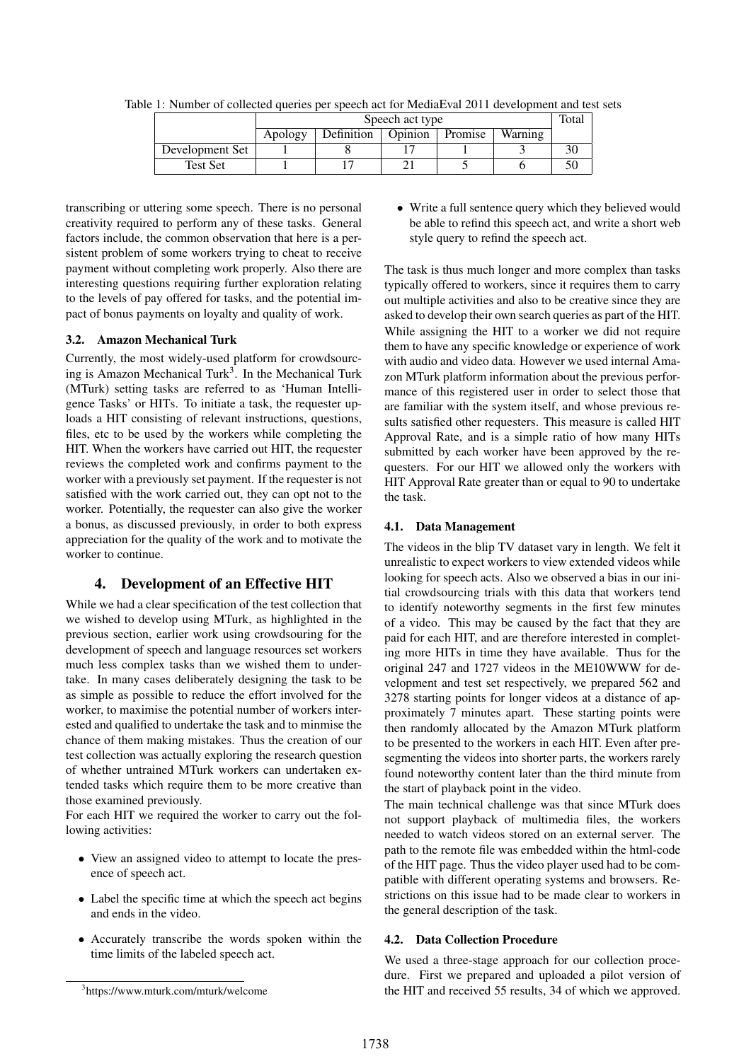|                 | Speech act type |            |         |         |         | Total |
|-----------------|-----------------|------------|---------|---------|---------|-------|
|                 | Apology         | Definition | Opinion | Promise | Warning |       |
| Development Set |                 |            |         |         |         | 30    |
| <b>Test Set</b> |                 |            |         |         |         | 51    |

Table 1: Number of collected queries per speech act for MediaEval 2011 development and test sets

transcribing or uttering some speech. There is no personal creativity required to perform any of these tasks. General factors include, the common observation that here is a persistent problem of some workers trying to cheat to receive payment without completing work properly. Also there are interesting questions requiring further exploration relating to the levels of pay offered for tasks, and the potential impact of bonus payments on loyalty and quality of work.

#### 3.2. Amazon Mechanical Turk

Currently, the most widely-used platform for crowdsourcing is Amazon Mechanical Turk<sup>3</sup>. In the Mechanical Turk (MTurk) setting tasks are referred to as 'Human Intelligence Tasks' or HITs. To initiate a task, the requester uploads a HIT consisting of relevant instructions, questions, files, etc to be used by the workers while completing the HIT. When the workers have carried out HIT, the requester reviews the completed work and confirms payment to the worker with a previously set payment. If the requester is not satisfied with the work carried out, they can opt not to the worker. Potentially, the requester can also give the worker a bonus, as discussed previously, in order to both express appreciation for the quality of the work and to motivate the worker to continue.

### 4. Development of an Effective HIT

While we had a clear specification of the test collection that we wished to develop using MTurk, as highlighted in the previous section, earlier work using crowdsouring for the development of speech and language resources set workers much less complex tasks than we wished them to undertake. In many cases deliberately designing the task to be as simple as possible to reduce the effort involved for the worker, to maximise the potential number of workers interested and qualified to undertake the task and to minmise the chance of them making mistakes. Thus the creation of our test collection was actually exploring the research question of whether untrained MTurk workers can undertaken extended tasks which require them to be more creative than those examined previously.

For each HIT we required the worker to carry out the following activities:

- View an assigned video to attempt to locate the presence of speech act.
- Label the specific time at which the speech act begins and ends in the video.
- Accurately transcribe the words spoken within the time limits of the labeled speech act.

• Write a full sentence query which they believed would be able to refind this speech act, and write a short web style query to refind the speech act.

The task is thus much longer and more complex than tasks typically offered to workers, since it requires them to carry out multiple activities and also to be creative since they are asked to develop their own search queries as part of the HIT. While assigning the HIT to a worker we did not require them to have any specific knowledge or experience of work with audio and video data. However we used internal Amazon MTurk platform information about the previous performance of this registered user in order to select those that are familiar with the system itself, and whose previous results satisfied other requesters. This measure is called HIT Approval Rate, and is a simple ratio of how many HITs submitted by each worker have been approved by the requesters. For our HIT we allowed only the workers with HIT Approval Rate greater than or equal to 90 to undertake the task.

#### 4.1. Data Management

The videos in the blip TV dataset vary in length. We felt it unrealistic to expect workers to view extended videos while looking for speech acts. Also we observed a bias in our initial crowdsourcing trials with this data that workers tend to identify noteworthy segments in the first few minutes of a video. This may be caused by the fact that they are paid for each HIT, and are therefore interested in completing more HITs in time they have available. Thus for the original 247 and 1727 videos in the ME10WWW for development and test set respectively, we prepared 562 and 3278 starting points for longer videos at a distance of approximately 7 minutes apart. These starting points were then randomly allocated by the Amazon MTurk platform to be presented to the workers in each HIT. Even after presegmenting the videos into shorter parts, the workers rarely found noteworthy content later than the third minute from the start of playback point in the video.

The main technical challenge was that since MTurk does not support playback of multimedia files, the workers needed to watch videos stored on an external server. The path to the remote file was embedded within the html-code of the HIT page. Thus the video player used had to be compatible with different operating systems and browsers. Restrictions on this issue had to be made clear to workers in the general description of the task.

#### 4.2. Data Collection Procedure

We used a three-stage approach for our collection procedure. First we prepared and uploaded a pilot version of the HIT and received 55 results, 34 of which we approved.

<sup>3</sup> https://www.mturk.com/mturk/welcome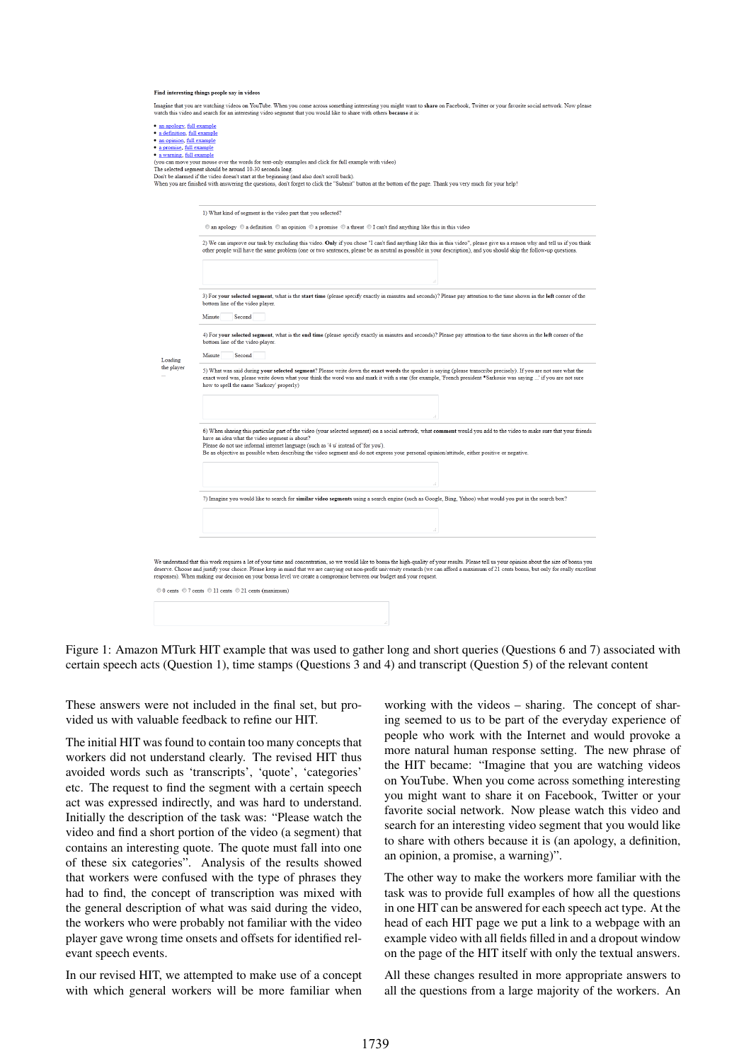Find interesting things people say in video

magine that you are watching videos on YouTube. When you come across something interesting you might want to share on Facebook, Twitter or your favorite social network. Now please<br>zatch this video and search for an interes

|                       | The selected segment should be around 10-30 seconds long.<br>Don't be alarmed if the video doesn't start at the beginning (and also don't scroll back).<br>When you are finished with answering the questions, don't forget to click the "Submit" button at the bottom of the page. Thank you very much for your help!                                                                                                                                                                                                                             |  |  |  |  |  |
|-----------------------|----------------------------------------------------------------------------------------------------------------------------------------------------------------------------------------------------------------------------------------------------------------------------------------------------------------------------------------------------------------------------------------------------------------------------------------------------------------------------------------------------------------------------------------------------|--|--|--|--|--|
|                       | 1) What kind of segment is the video part that you selected?                                                                                                                                                                                                                                                                                                                                                                                                                                                                                       |  |  |  |  |  |
|                       | $\circledcirc$ an apology $\circledcirc$ a definition $\circledcirc$ an opinion $\circledcirc$ a promise $\circledcirc$ a threat $\circledcirc$ I can't find anything like this in this video<br>2) We can improve our task by excluding this video. Only if you chose "I can't find anything like this in this video", please give us a reason why and tell us if you think<br>other people will have the same problem (one or two sentences, please be as neutral as possible in your description), and you should skip the follow-up questions. |  |  |  |  |  |
|                       |                                                                                                                                                                                                                                                                                                                                                                                                                                                                                                                                                    |  |  |  |  |  |
| Loading<br>the player | 3) For your selected segment, what is the start time (please specify exactly in minutes and seconds)? Please pay attention to the time shown in the left corner of the<br>bottom line of the video player.<br>Minute<br>Second                                                                                                                                                                                                                                                                                                                     |  |  |  |  |  |
|                       | 4) For your selected segment, what is the end time (please specify exactly in minutes and seconds)? Please pay attention to the time shown in the left corner of the<br>bottom line of the video player.                                                                                                                                                                                                                                                                                                                                           |  |  |  |  |  |
|                       | Minute<br>Second<br>5) What was said during your selected segment? Please write down the exact words the speaker is saying (please transcribe precisely). If you are not sure what the<br>exact word was, please write down what your think the word was and mark it with a star (for example, 'French president *Sarkosie was saying ' if you are not sure<br>how to spell the name 'Sarkozy' properly)                                                                                                                                           |  |  |  |  |  |
|                       |                                                                                                                                                                                                                                                                                                                                                                                                                                                                                                                                                    |  |  |  |  |  |
|                       | 6) When sharing this particular part of the video (your selected segment) on a social network, what comment would you add to the video to make sure that your friends<br>have an idea what the video segment is about?<br>Please do not use informal internet language (such as '4 u' instead of 'for you').<br>Be as objective as possible when describing the video segment and do not express your personal opinion/attitude, either positive or negative.                                                                                      |  |  |  |  |  |
|                       | 7) Imagine you would like to search for similar video segments using a search engine (such as Google, Bing, Yahoo) what would you put in the search box?                                                                                                                                                                                                                                                                                                                                                                                           |  |  |  |  |  |
|                       |                                                                                                                                                                                                                                                                                                                                                                                                                                                                                                                                                    |  |  |  |  |  |
|                       | We understand that this work requires a lot of your time and concentration, so we would like to bonus the high-quality of your results. Please tell us your opinion about the size of bonus you<br>deserve. Choose and justify your choice. Please keep in mind that we are carrying out non-profit university research (we can afford a maximum of 21 cents bonus, but only for really excellent<br>responses). When making our decision on your bonus level we create a compromise between our budget and your request.                          |  |  |  |  |  |
|                       | © 0 cents © 7 cents © 11 cents © 21 cents (maximum)                                                                                                                                                                                                                                                                                                                                                                                                                                                                                                |  |  |  |  |  |

Figure 1: Amazon MTurk HIT example that was used to gather long and short queries (Questions 6 and 7) associated with certain speech acts (Question 1), time stamps (Questions 3 and 4) and transcript (Question 5) of the relevant content

These answers were not included in the final set, but provided us with valuable feedback to refine our HIT.

The initial HIT was found to contain too many concepts that workers did not understand clearly. The revised HIT thus avoided words such as 'transcripts', 'quote', 'categories' etc. The request to find the segment with a certain speech act was expressed indirectly, and was hard to understand. Initially the description of the task was: "Please watch the video and find a short portion of the video (a segment) that contains an interesting quote. The quote must fall into one of these six categories". Analysis of the results showed that workers were confused with the type of phrases they had to find, the concept of transcription was mixed with the general description of what was said during the video, the workers who were probably not familiar with the video player gave wrong time onsets and offsets for identified relevant speech events.

In our revised HIT, we attempted to make use of a concept with which general workers will be more familiar when

working with the videos – sharing. The concept of sharing seemed to us to be part of the everyday experience of people who work with the Internet and would provoke a more natural human response setting. The new phrase of the HIT became: "Imagine that you are watching videos on YouTube. When you come across something interesting you might want to share it on Facebook, Twitter or your favorite social network. Now please watch this video and search for an interesting video segment that you would like to share with others because it is (an apology, a definition, an opinion, a promise, a warning)".

The other way to make the workers more familiar with the task was to provide full examples of how all the questions in one HIT can be answered for each speech act type. At the head of each HIT page we put a link to a webpage with an example video with all fields filled in and a dropout window on the page of the HIT itself with only the textual answers.

All these changes resulted in more appropriate answers to all the questions from a large majority of the workers. An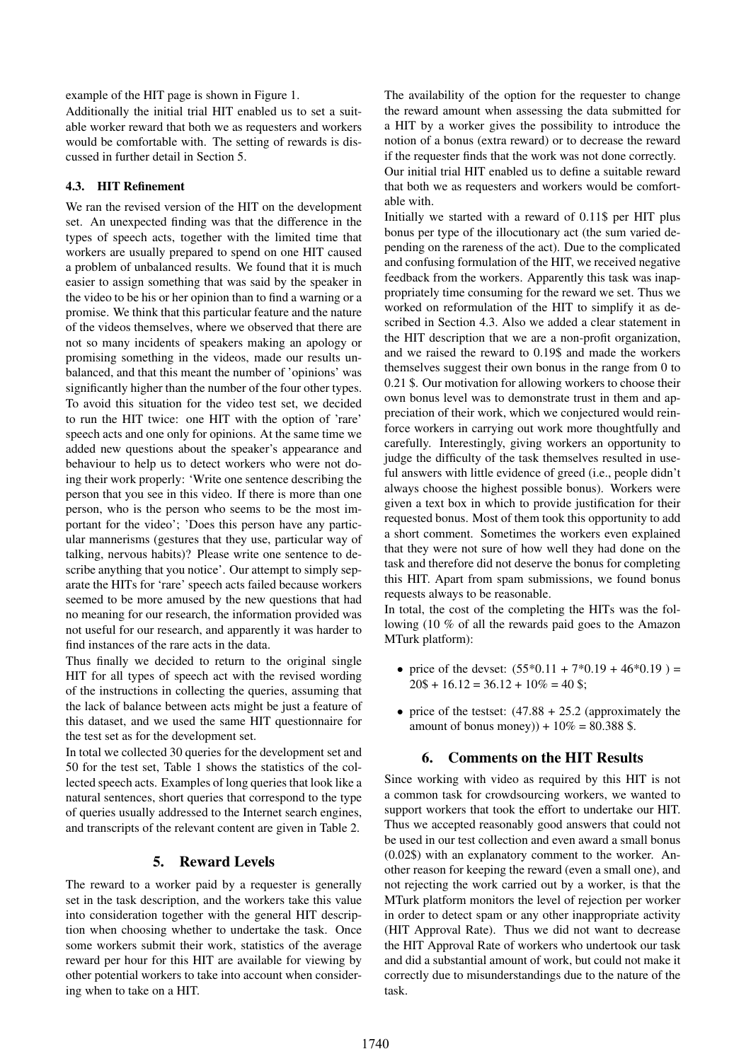example of the HIT page is shown in Figure 1.

Additionally the initial trial HIT enabled us to set a suitable worker reward that both we as requesters and workers would be comfortable with. The setting of rewards is discussed in further detail in Section 5.

#### 4.3. HIT Refinement

We ran the revised version of the HIT on the development set. An unexpected finding was that the difference in the types of speech acts, together with the limited time that workers are usually prepared to spend on one HIT caused a problem of unbalanced results. We found that it is much easier to assign something that was said by the speaker in the video to be his or her opinion than to find a warning or a promise. We think that this particular feature and the nature of the videos themselves, where we observed that there are not so many incidents of speakers making an apology or promising something in the videos, made our results unbalanced, and that this meant the number of 'opinions' was significantly higher than the number of the four other types. To avoid this situation for the video test set, we decided to run the HIT twice: one HIT with the option of 'rare' speech acts and one only for opinions. At the same time we added new questions about the speaker's appearance and behaviour to help us to detect workers who were not doing their work properly: 'Write one sentence describing the person that you see in this video. If there is more than one person, who is the person who seems to be the most important for the video'; 'Does this person have any particular mannerisms (gestures that they use, particular way of talking, nervous habits)? Please write one sentence to describe anything that you notice'. Our attempt to simply separate the HITs for 'rare' speech acts failed because workers seemed to be more amused by the new questions that had no meaning for our research, the information provided was not useful for our research, and apparently it was harder to find instances of the rare acts in the data.

Thus finally we decided to return to the original single HIT for all types of speech act with the revised wording of the instructions in collecting the queries, assuming that the lack of balance between acts might be just a feature of this dataset, and we used the same HIT questionnaire for the test set as for the development set.

In total we collected 30 queries for the development set and 50 for the test set, Table 1 shows the statistics of the collected speech acts. Examples of long queries that look like a natural sentences, short queries that correspond to the type of queries usually addressed to the Internet search engines, and transcripts of the relevant content are given in Table 2.

#### 5. Reward Levels

The reward to a worker paid by a requester is generally set in the task description, and the workers take this value into consideration together with the general HIT description when choosing whether to undertake the task. Once some workers submit their work, statistics of the average reward per hour for this HIT are available for viewing by other potential workers to take into account when considering when to take on a HIT.

The availability of the option for the requester to change the reward amount when assessing the data submitted for a HIT by a worker gives the possibility to introduce the notion of a bonus (extra reward) or to decrease the reward if the requester finds that the work was not done correctly.

Our initial trial HIT enabled us to define a suitable reward that both we as requesters and workers would be comfortable with.

Initially we started with a reward of 0.11\$ per HIT plus bonus per type of the illocutionary act (the sum varied depending on the rareness of the act). Due to the complicated and confusing formulation of the HIT, we received negative feedback from the workers. Apparently this task was inappropriately time consuming for the reward we set. Thus we worked on reformulation of the HIT to simplify it as described in Section 4.3. Also we added a clear statement in the HIT description that we are a non-profit organization, and we raised the reward to 0.19\$ and made the workers themselves suggest their own bonus in the range from 0 to 0.21 \$. Our motivation for allowing workers to choose their own bonus level was to demonstrate trust in them and appreciation of their work, which we conjectured would reinforce workers in carrying out work more thoughtfully and carefully. Interestingly, giving workers an opportunity to judge the difficulty of the task themselves resulted in useful answers with little evidence of greed (i.e., people didn't always choose the highest possible bonus). Workers were given a text box in which to provide justification for their requested bonus. Most of them took this opportunity to add a short comment. Sometimes the workers even explained that they were not sure of how well they had done on the task and therefore did not deserve the bonus for completing this HIT. Apart from spam submissions, we found bonus requests always to be reasonable.

In total, the cost of the completing the HITs was the following (10 % of all the rewards paid goes to the Amazon MTurk platform):

- price of the devset:  $(55*0.11 + 7*0.19 + 46*0.19) =$  $20\% + 16.12 = 36.12 + 10\% = 40$  \$;
- price of the testset:  $(47.88 + 25.2$  (approximately the amount of bonus money)) +  $10\% = 80.388$  \$.

#### 6. Comments on the HIT Results

Since working with video as required by this HIT is not a common task for crowdsourcing workers, we wanted to support workers that took the effort to undertake our HIT. Thus we accepted reasonably good answers that could not be used in our test collection and even award a small bonus (0.02\$) with an explanatory comment to the worker. Another reason for keeping the reward (even a small one), and not rejecting the work carried out by a worker, is that the MTurk platform monitors the level of rejection per worker in order to detect spam or any other inappropriate activity (HIT Approval Rate). Thus we did not want to decrease the HIT Approval Rate of workers who undertook our task and did a substantial amount of work, but could not make it correctly due to misunderstandings due to the nature of the task.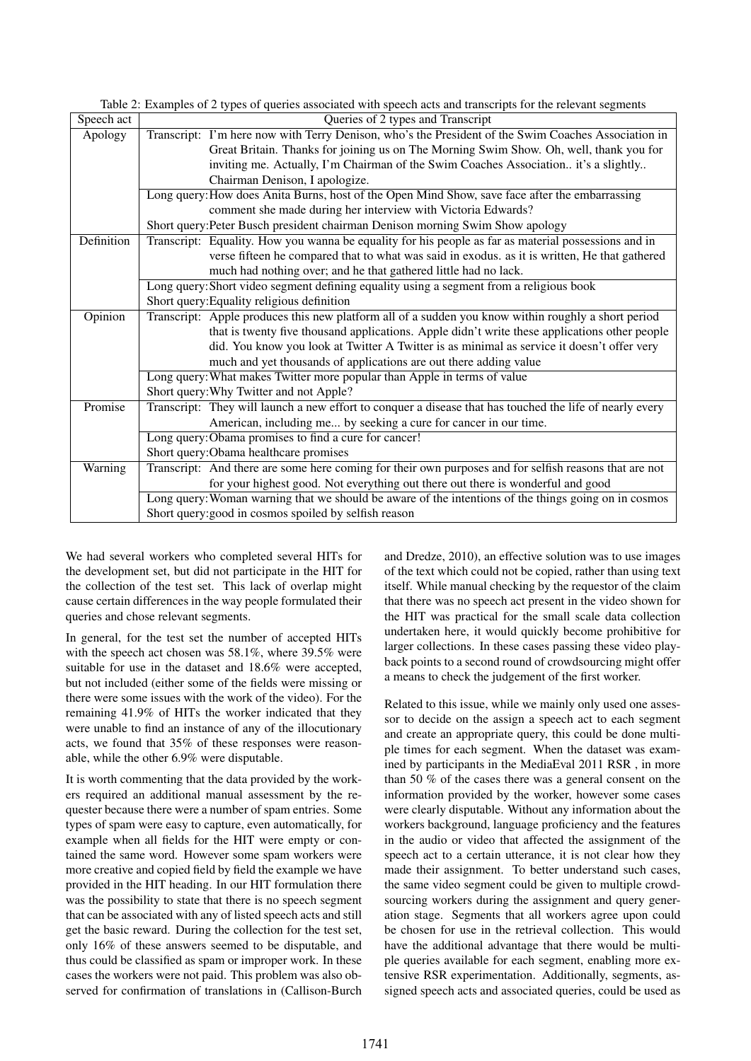| Speech act | Queries of 2 types and Transcript                                                                        |  |  |  |  |  |
|------------|----------------------------------------------------------------------------------------------------------|--|--|--|--|--|
| Apology    | Transcript: I'm here now with Terry Denison, who's the President of the Swim Coaches Association in      |  |  |  |  |  |
|            | Great Britain. Thanks for joining us on The Morning Swim Show. Oh, well, thank you for                   |  |  |  |  |  |
|            | inviting me. Actually, I'm Chairman of the Swim Coaches Association it's a slightly                      |  |  |  |  |  |
|            | Chairman Denison, I apologize.                                                                           |  |  |  |  |  |
|            | Long query: How does Anita Burns, host of the Open Mind Show, save face after the embarrassing           |  |  |  |  |  |
|            | comment she made during her interview with Victoria Edwards?                                             |  |  |  |  |  |
|            | Short query: Peter Busch president chairman Denison morning Swim Show apology                            |  |  |  |  |  |
| Definition | Transcript: Equality. How you wanna be equality for his people as far as material possessions and in     |  |  |  |  |  |
|            | verse fifteen he compared that to what was said in exodus. as it is written, He that gathered            |  |  |  |  |  |
|            | much had nothing over; and he that gathered little had no lack.                                          |  |  |  |  |  |
|            | Long query: Short video segment defining equality using a segment from a religious book                  |  |  |  |  |  |
|            | Short query: Equality religious definition                                                               |  |  |  |  |  |
| Opinion    | Transcript: Apple produces this new platform all of a sudden you know within roughly a short period      |  |  |  |  |  |
|            | that is twenty five thousand applications. Apple didn't write these applications other people            |  |  |  |  |  |
|            | did. You know you look at Twitter A Twitter is as minimal as service it doesn't offer very               |  |  |  |  |  |
|            | much and yet thousands of applications are out there adding value                                        |  |  |  |  |  |
|            | Long query: What makes Twitter more popular than Apple in terms of value                                 |  |  |  |  |  |
|            | Short query: Why Twitter and not Apple?                                                                  |  |  |  |  |  |
| Promise    | Transcript: They will launch a new effort to conquer a disease that has touched the life of nearly every |  |  |  |  |  |
|            | American, including me by seeking a cure for cancer in our time.                                         |  |  |  |  |  |
|            | Long query: Obama promises to find a cure for cancer!                                                    |  |  |  |  |  |
|            | Short query: Obama healthcare promises                                                                   |  |  |  |  |  |
| Warning    | Transcript: And there are some here coming for their own purposes and for selfish reasons that are not   |  |  |  |  |  |
|            | for your highest good. Not everything out there out there is wonderful and good                          |  |  |  |  |  |
|            | Long query: Woman warning that we should be aware of the intentions of the things going on in cosmos     |  |  |  |  |  |
|            | Short query: good in cosmos spoiled by selfish reason                                                    |  |  |  |  |  |

Table 2: Examples of 2 types of queries associated with speech acts and transcripts for the relevant segments

We had several workers who completed several HITs for the development set, but did not participate in the HIT for the collection of the test set. This lack of overlap might cause certain differences in the way people formulated their queries and chose relevant segments.

In general, for the test set the number of accepted HITs with the speech act chosen was 58.1%, where 39.5% were suitable for use in the dataset and 18.6% were accepted, but not included (either some of the fields were missing or there were some issues with the work of the video). For the remaining 41.9% of HITs the worker indicated that they were unable to find an instance of any of the illocutionary acts, we found that 35% of these responses were reasonable, while the other 6.9% were disputable.

It is worth commenting that the data provided by the workers required an additional manual assessment by the requester because there were a number of spam entries. Some types of spam were easy to capture, even automatically, for example when all fields for the HIT were empty or contained the same word. However some spam workers were more creative and copied field by field the example we have provided in the HIT heading. In our HIT formulation there was the possibility to state that there is no speech segment that can be associated with any of listed speech acts and still get the basic reward. During the collection for the test set, only 16% of these answers seemed to be disputable, and thus could be classified as spam or improper work. In these cases the workers were not paid. This problem was also observed for confirmation of translations in (Callison-Burch

and Dredze, 2010), an effective solution was to use images of the text which could not be copied, rather than using text itself. While manual checking by the requestor of the claim that there was no speech act present in the video shown for the HIT was practical for the small scale data collection undertaken here, it would quickly become prohibitive for larger collections. In these cases passing these video playback points to a second round of crowdsourcing might offer a means to check the judgement of the first worker.

Related to this issue, while we mainly only used one assessor to decide on the assign a speech act to each segment and create an appropriate query, this could be done multiple times for each segment. When the dataset was examined by participants in the MediaEval 2011 RSR , in more than 50 % of the cases there was a general consent on the information provided by the worker, however some cases were clearly disputable. Without any information about the workers background, language proficiency and the features in the audio or video that affected the assignment of the speech act to a certain utterance, it is not clear how they made their assignment. To better understand such cases, the same video segment could be given to multiple crowdsourcing workers during the assignment and query generation stage. Segments that all workers agree upon could be chosen for use in the retrieval collection. This would have the additional advantage that there would be multiple queries available for each segment, enabling more extensive RSR experimentation. Additionally, segments, assigned speech acts and associated queries, could be used as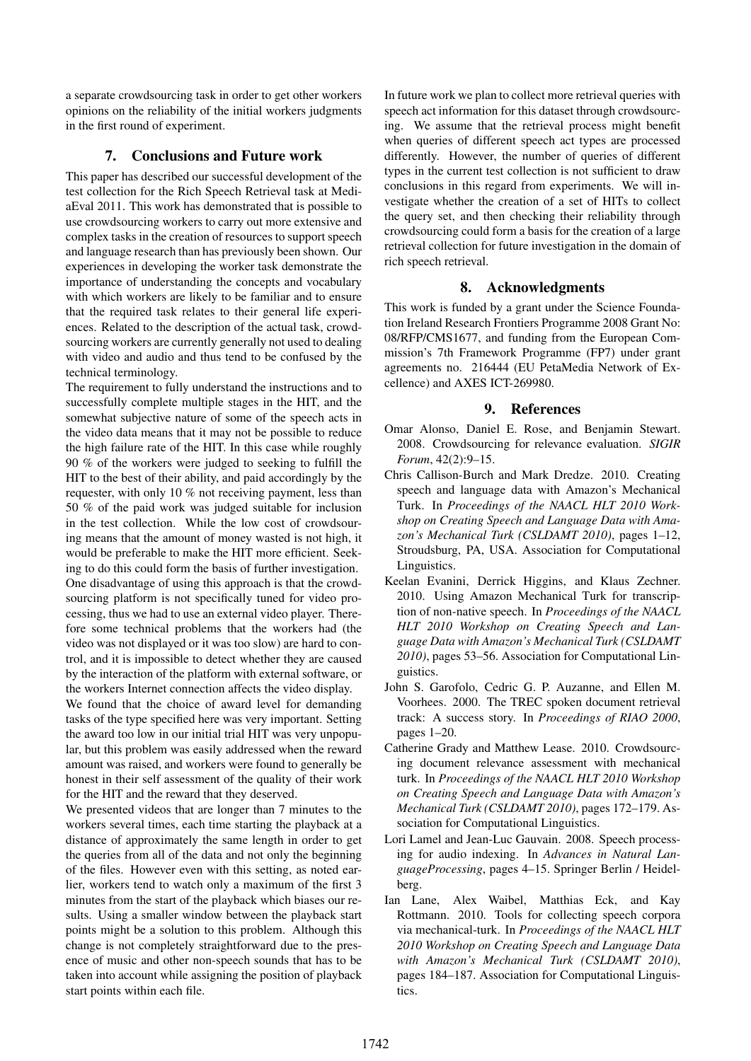a separate crowdsourcing task in order to get other workers opinions on the reliability of the initial workers judgments in the first round of experiment.

#### 7. Conclusions and Future work

This paper has described our successful development of the test collection for the Rich Speech Retrieval task at MediaEval 2011. This work has demonstrated that is possible to use crowdsourcing workers to carry out more extensive and complex tasks in the creation of resources to support speech and language research than has previously been shown. Our experiences in developing the worker task demonstrate the importance of understanding the concepts and vocabulary with which workers are likely to be familiar and to ensure that the required task relates to their general life experiences. Related to the description of the actual task, crowdsourcing workers are currently generally not used to dealing with video and audio and thus tend to be confused by the technical terminology.

The requirement to fully understand the instructions and to successfully complete multiple stages in the HIT, and the somewhat subjective nature of some of the speech acts in the video data means that it may not be possible to reduce the high failure rate of the HIT. In this case while roughly 90 % of the workers were judged to seeking to fulfill the HIT to the best of their ability, and paid accordingly by the requester, with only 10 % not receiving payment, less than 50 % of the paid work was judged suitable for inclusion in the test collection. While the low cost of crowdsouring means that the amount of money wasted is not high, it would be preferable to make the HIT more efficient. Seeking to do this could form the basis of further investigation. One disadvantage of using this approach is that the crowdsourcing platform is not specifically tuned for video processing, thus we had to use an external video player. Therefore some technical problems that the workers had (the video was not displayed or it was too slow) are hard to control, and it is impossible to detect whether they are caused by the interaction of the platform with external software, or the workers Internet connection affects the video display.

We found that the choice of award level for demanding tasks of the type specified here was very important. Setting the award too low in our initial trial HIT was very unpopular, but this problem was easily addressed when the reward amount was raised, and workers were found to generally be honest in their self assessment of the quality of their work for the HIT and the reward that they deserved.

We presented videos that are longer than 7 minutes to the workers several times, each time starting the playback at a distance of approximately the same length in order to get the queries from all of the data and not only the beginning of the files. However even with this setting, as noted earlier, workers tend to watch only a maximum of the first 3 minutes from the start of the playback which biases our results. Using a smaller window between the playback start points might be a solution to this problem. Although this change is not completely straightforward due to the presence of music and other non-speech sounds that has to be taken into account while assigning the position of playback start points within each file.

In future work we plan to collect more retrieval queries with speech act information for this dataset through crowdsourcing. We assume that the retrieval process might benefit when queries of different speech act types are processed differently. However, the number of queries of different types in the current test collection is not sufficient to draw conclusions in this regard from experiments. We will investigate whether the creation of a set of HITs to collect the query set, and then checking their reliability through crowdsourcing could form a basis for the creation of a large retrieval collection for future investigation in the domain of rich speech retrieval.

### 8. Acknowledgments

This work is funded by a grant under the Science Foundation Ireland Research Frontiers Programme 2008 Grant No: 08/RFP/CMS1677, and funding from the European Commission's 7th Framework Programme (FP7) under grant agreements no. 216444 (EU PetaMedia Network of Excellence) and AXES ICT-269980.

### 9. References

- Omar Alonso, Daniel E. Rose, and Benjamin Stewart. 2008. Crowdsourcing for relevance evaluation. *SIGIR Forum*, 42(2):9–15.
- Chris Callison-Burch and Mark Dredze. 2010. Creating speech and language data with Amazon's Mechanical Turk. In *Proceedings of the NAACL HLT 2010 Workshop on Creating Speech and Language Data with Amazon's Mechanical Turk (CSLDAMT 2010)*, pages 1–12, Stroudsburg, PA, USA. Association for Computational Linguistics.
- Keelan Evanini, Derrick Higgins, and Klaus Zechner. 2010. Using Amazon Mechanical Turk for transcription of non-native speech. In *Proceedings of the NAACL HLT 2010 Workshop on Creating Speech and Language Data with Amazon's Mechanical Turk (CSLDAMT 2010)*, pages 53–56. Association for Computational Linguistics.
- John S. Garofolo, Cedric G. P. Auzanne, and Ellen M. Voorhees. 2000. The TREC spoken document retrieval track: A success story. In *Proceedings of RIAO 2000*, pages 1–20.
- Catherine Grady and Matthew Lease. 2010. Crowdsourcing document relevance assessment with mechanical turk. In *Proceedings of the NAACL HLT 2010 Workshop on Creating Speech and Language Data with Amazon's Mechanical Turk (CSLDAMT 2010)*, pages 172–179. Association for Computational Linguistics.
- Lori Lamel and Jean-Luc Gauvain. 2008. Speech processing for audio indexing. In *Advances in Natural LanguageProcessing*, pages 4–15. Springer Berlin / Heidelberg.
- Ian Lane, Alex Waibel, Matthias Eck, and Kay Rottmann. 2010. Tools for collecting speech corpora via mechanical-turk. In *Proceedings of the NAACL HLT 2010 Workshop on Creating Speech and Language Data with Amazon's Mechanical Turk (CSLDAMT 2010)*, pages 184–187. Association for Computational Linguistics.